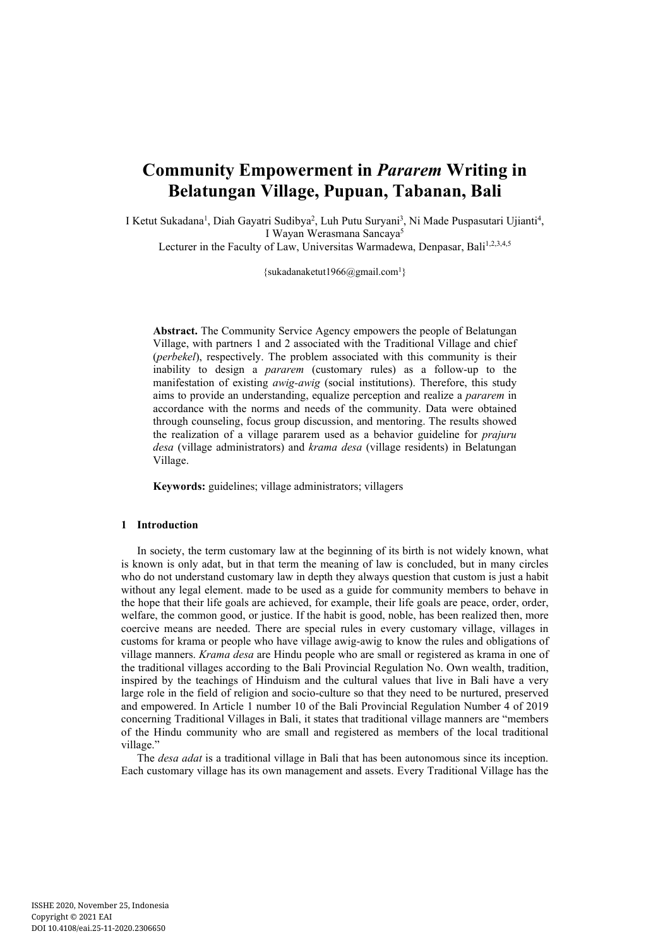# **Community Empowerment in** *Pararem* **Writing in Belatungan Village, Pupuan, Tabanan, Bali**

I Ketut Sukadana<sup>1</sup>, Diah Gayatri Sudibya<sup>2</sup>, Luh Putu Suryani<sup>3</sup>, Ni Made Puspasutari Ujianti<sup>4</sup>, I Wayan Werasmana Sancaya<sup>5</sup>

Lecturer in the Faculty of Law, Universitas Warmadewa, Denpasar, Bali<sup>1,2,3,4,5</sup>

 $\{sukadanaketut1966@gmail.com<sup>1</sup>\}$ 

**Abstract.** The Community Service Agency empowers the people of Belatungan Village, with partners 1 and 2 associated with the Traditional Village and chief (*perbekel*), respectively. The problem associated with this community is their inability to design a *pararem* (customary rules) as a follow-up to the manifestation of existing *awig-awig* (social institutions). Therefore, this study aims to provide an understanding, equalize perception and realize a *pararem* in accordance with the norms and needs of the community. Data were obtained through counseling, focus group discussion, and mentoring. The results showed the realization of a village pararem used as a behavior guideline for *prajuru desa* (village administrators) and *krama desa* (village residents) in Belatungan Village.

**Keywords:** guidelines; village administrators; villagers

## **1 Introduction**

In society, the term customary law at the beginning of its birth is not widely known, what is known is only adat, but in that term the meaning of law is concluded, but in many circles who do not understand customary law in depth they always question that custom is just a habit without any legal element. made to be used as a guide for community members to behave in the hope that their life goals are achieved, for example, their life goals are peace, order, order, welfare, the common good, or justice. If the habit is good, noble, has been realized then, more coercive means are needed. There are special rules in every customary village, villages in customs for krama or people who have village awig-awig to know the rules and obligations of village manners. *Krama desa* are Hindu people who are small or registered as krama in one of the traditional villages according to the Bali Provincial Regulation No. Own wealth, tradition, inspired by the teachings of Hinduism and the cultural values that live in Bali have a very large role in the field of religion and socio-culture so that they need to be nurtured, preserved and empowered. In Article 1 number 10 of the Bali Provincial Regulation Number 4 of 2019 concerning Traditional Villages in Bali, it states that traditional village manners are "members of the Hindu community who are small and registered as members of the local traditional village."

The *desa adat* is a traditional village in Bali that has been autonomous since its inception. Each customary village has its own management and assets. Every Traditional Village has the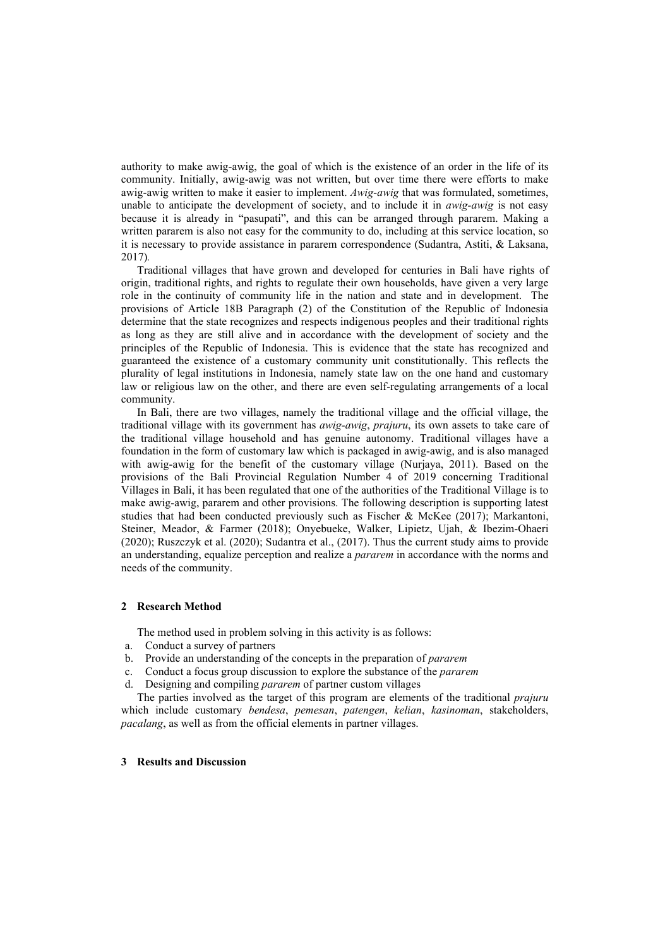authority to make awig-awig, the goal of which is the existence of an order in the life of its community. Initially, awig-awig was not written, but over time there were efforts to make awig-awig written to make it easier to implement. *Awig-awig* that was formulated, sometimes, unable to anticipate the development of society, and to include it in *awig-awig* is not easy because it is already in "pasupati", and this can be arranged through pararem. Making a written pararem is also not easy for the community to do, including at this service location, so it is necessary to provide assistance in pararem correspondence (Sudantra, Astiti, & Laksana, 2017)*.* 

Traditional villages that have grown and developed for centuries in Bali have rights of origin, traditional rights, and rights to regulate their own households, have given a very large role in the continuity of community life in the nation and state and in development. The provisions of Article 18B Paragraph (2) of the Constitution of the Republic of Indonesia determine that the state recognizes and respects indigenous peoples and their traditional rights as long as they are still alive and in accordance with the development of society and the principles of the Republic of Indonesia. This is evidence that the state has recognized and guaranteed the existence of a customary community unit constitutionally. This reflects the plurality of legal institutions in Indonesia, namely state law on the one hand and customary law or religious law on the other, and there are even self-regulating arrangements of a local community.

In Bali, there are two villages, namely the traditional village and the official village, the traditional village with its government has *awig-awig*, *prajuru*, its own assets to take care of the traditional village household and has genuine autonomy. Traditional villages have a foundation in the form of customary law which is packaged in awig-awig, and is also managed with awig-awig for the benefit of the customary village (Nurjaya, 2011). Based on the provisions of the Bali Provincial Regulation Number 4 of 2019 concerning Traditional Villages in Bali, it has been regulated that one of the authorities of the Traditional Village is to make awig-awig, pararem and other provisions. The following description is supporting latest studies that had been conducted previously such as Fischer & McKee (2017); Markantoni, Steiner, Meador, & Farmer (2018); Onyebueke, Walker, Lipietz, Ujah, & Ibezim-Ohaeri (2020); Ruszczyk et al. (2020); Sudantra et al., (2017). Thus the current study aims to provide an understanding, equalize perception and realize a *pararem* in accordance with the norms and needs of the community.

### **2 Research Method**

The method used in problem solving in this activity is as follows:

- a. Conduct a survey of partners
- b. Provide an understanding of the concepts in the preparation of *pararem*
- c. Conduct a focus group discussion to explore the substance of the *pararem*
- d. Designing and compiling *pararem* of partner custom villages

The parties involved as the target of this program are elements of the traditional *prajuru* which include customary *bendesa*, *pemesan*, *patengen*, *kelian*, *kasinoman*, stakeholders, *pacalang*, as well as from the official elements in partner villages.

## **3 Results and Discussion**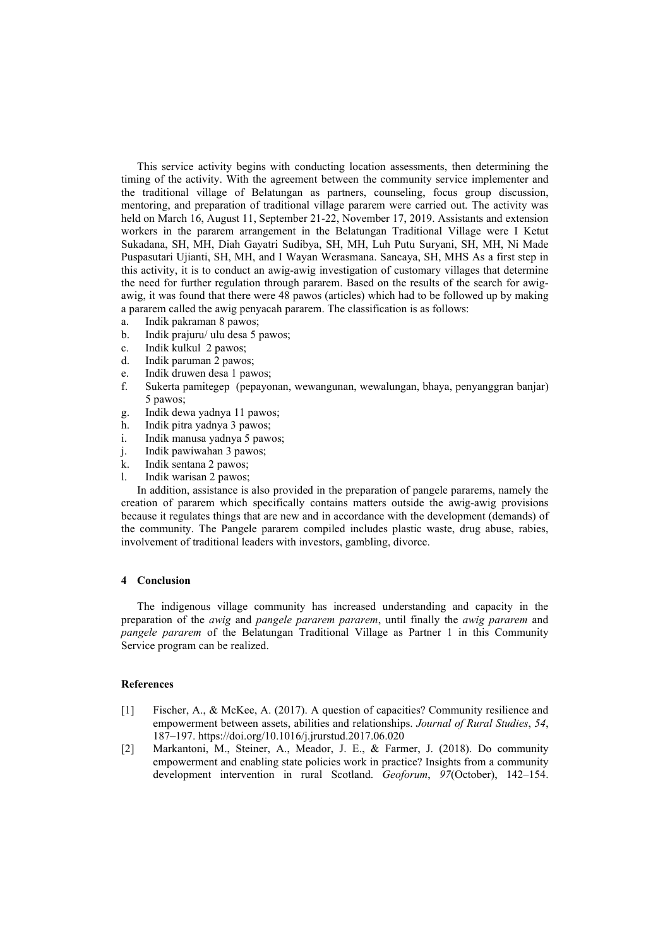This service activity begins with conducting location assessments, then determining the timing of the activity. With the agreement between the community service implementer and the traditional village of Belatungan as partners, counseling, focus group discussion, mentoring, and preparation of traditional village pararem were carried out. The activity was held on March 16, August 11, September 21-22, November 17, 2019. Assistants and extension workers in the pararem arrangement in the Belatungan Traditional Village were I Ketut Sukadana, SH, MH, Diah Gayatri Sudibya, SH, MH, Luh Putu Suryani, SH, MH, Ni Made Puspasutari Ujianti, SH, MH, and I Wayan Werasmana. Sancaya, SH, MHS As a first step in this activity, it is to conduct an awig-awig investigation of customary villages that determine the need for further regulation through pararem. Based on the results of the search for awigawig, it was found that there were 48 pawos (articles) which had to be followed up by making a pararem called the awig penyacah pararem. The classification is as follows:

- a. Indik pakraman 8 pawos;
- b. Indik prajuru/ ulu desa 5 pawos;
- c. Indik kulkul 2 pawos;
- d. Indik paruman 2 pawos;
- e. Indik druwen desa 1 pawos;
- f. Sukerta pamitegep (pepayonan, wewangunan, wewalungan, bhaya, penyanggran banjar) 5 pawos;
- g. Indik dewa yadnya 11 pawos;
- h. Indik pitra yadnya 3 pawos;
- i. Indik manusa yadnya 5 pawos;
- j. Indik pawiwahan 3 pawos;
- k. Indik sentana 2 pawos;
- l. Indik warisan 2 pawos;

In addition, assistance is also provided in the preparation of pangele pararems, namely the creation of pararem which specifically contains matters outside the awig-awig provisions because it regulates things that are new and in accordance with the development (demands) of the community. The Pangele pararem compiled includes plastic waste, drug abuse, rabies, involvement of traditional leaders with investors, gambling, divorce.

#### **4 Conclusion**

The indigenous village community has increased understanding and capacity in the preparation of the *awig* and *pangele pararem pararem*, until finally the *awig pararem* and *pangele pararem* of the Belatungan Traditional Village as Partner 1 in this Community Service program can be realized.

#### **References**

- [1] Fischer, A., & McKee, A. (2017). A question of capacities? Community resilience and empowerment between assets, abilities and relationships. *Journal of Rural Studies*, *54*, 187–197. https://doi.org/10.1016/j.jrurstud.2017.06.020
- [2] Markantoni, M., Steiner, A., Meador, J. E., & Farmer, J. (2018). Do community empowerment and enabling state policies work in practice? Insights from a community development intervention in rural Scotland. *Geoforum*, *97*(October), 142–154.